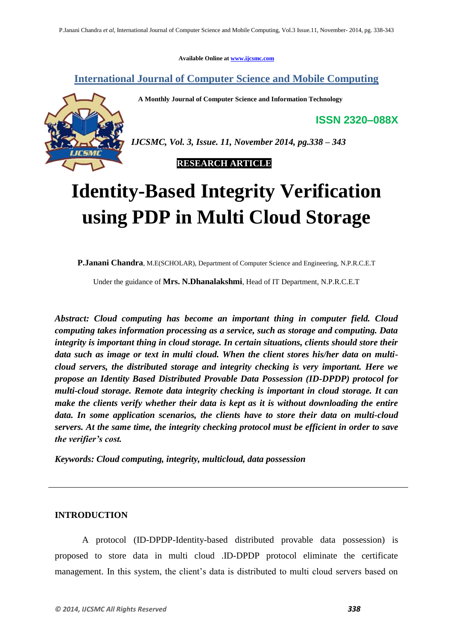**Available Online at www.ijcsmc.com**

**International Journal of Computer Science and Mobile Computing**

 **A Monthly Journal of Computer Science and Information Technology**

**ISSN 2320–088X**

*IJCSMC, Vol. 3, Issue. 11, November 2014, pg.338 – 343*

 **RESEARCH ARTICLE**

# **Identity-Based Integrity Verification using PDP in Multi Cloud Storage**

**P.Janani Chandra**, M.E(SCHOLAR), Department of Computer Science and Engineering, N.P.R.C.E.T

Under the guidance of **Mrs. N.Dhanalakshmi**, Head of IT Department, N.P.R.C.E.T

*Abstract: Cloud computing has become an important thing in computer field. Cloud computing takes information processing as a service, such as storage and computing. Data integrity is important thing in cloud storage. In certain situations, clients should store their data such as image or text in multi cloud. When the client stores his/her data on multicloud servers, the distributed storage and integrity checking is very important. Here we propose an Identity Based Distributed Provable Data Possession (ID-DPDP) protocol for multi-cloud storage. Remote data integrity checking is important in cloud storage. It can make the clients verify whether their data is kept as it is without downloading the entire data. In some application scenarios, the clients have to store their data on multi-cloud servers. At the same time, the integrity checking protocol must be efficient in order to save the verifier's cost.*

*Keywords: Cloud computing, integrity, multicloud, data possession*

## **INTRODUCTION**

A protocol (ID-DPDP-Identity-based distributed provable data possession) is proposed to store data in multi cloud .ID-DPDP protocol eliminate the certificate management. In this system, the client's data is distributed to multi cloud servers based on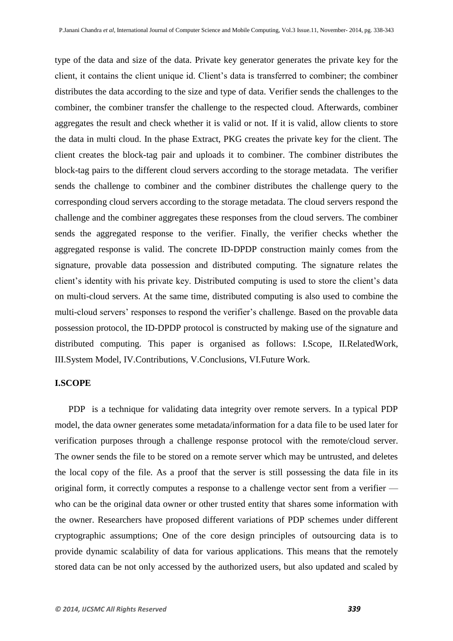type of the data and size of the data. Private key generator generates the private key for the client, it contains the client unique id. Client's data is transferred to combiner; the combiner distributes the data according to the size and type of data. Verifier sends the challenges to the combiner, the combiner transfer the challenge to the respected cloud. Afterwards, combiner aggregates the result and check whether it is valid or not. If it is valid, allow clients to store the data in multi cloud. In the phase Extract, PKG creates the private key for the client. The client creates the block-tag pair and uploads it to combiner. The combiner distributes the block-tag pairs to the different cloud servers according to the storage metadata. The verifier sends the challenge to combiner and the combiner distributes the challenge query to the corresponding cloud servers according to the storage metadata. The cloud servers respond the challenge and the combiner aggregates these responses from the cloud servers. The combiner sends the aggregated response to the verifier. Finally, the verifier checks whether the aggregated response is valid. The concrete ID-DPDP construction mainly comes from the signature, provable data possession and distributed computing. The signature relates the client's identity with his private key. Distributed computing is used to store the client's data on multi-cloud servers. At the same time, distributed computing is also used to combine the multi-cloud servers' responses to respond the verifier's challenge. Based on the provable data possession protocol, the ID-DPDP protocol is constructed by making use of the signature and distributed computing. This paper is organised as follows: I.Scope, II.RelatedWork, III.System Model, IV.Contributions, V.Conclusions, VI.Future Work.

### **I.SCOPE**

 PDP is a technique for validating data integrity over remote servers. In a typical PDP model, the data owner generates some metadata/information for a data file to be used later for verification purposes through a challenge response protocol with the remote/cloud server. The owner sends the file to be stored on a remote server which may be untrusted, and deletes the local copy of the file. As a proof that the server is still possessing the data file in its original form, it correctly computes a response to a challenge vector sent from a verifier who can be the original data owner or other trusted entity that shares some information with the owner. Researchers have proposed different variations of PDP schemes under different cryptographic assumptions; One of the core design principles of outsourcing data is to provide dynamic scalability of data for various applications. This means that the remotely stored data can be not only accessed by the authorized users, but also updated and scaled by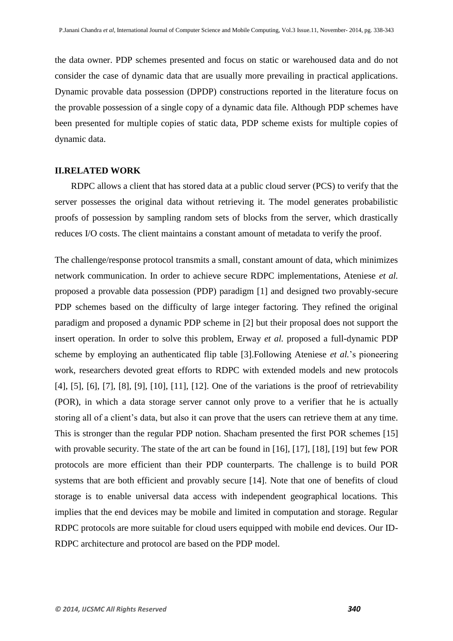the data owner. PDP schemes presented and focus on static or warehoused data and do not consider the case of dynamic data that are usually more prevailing in practical applications. Dynamic provable data possession (DPDP) constructions reported in the literature focus on the provable possession of a single copy of a dynamic data file. Although PDP schemes have been presented for multiple copies of static data, PDP scheme exists for multiple copies of dynamic data.

#### **II.RELATED WORK**

RDPC allows a client that has stored data at a public cloud server (PCS) to verify that the server possesses the original data without retrieving it. The model generates probabilistic proofs of possession by sampling random sets of blocks from the server, which drastically reduces I/O costs. The client maintains a constant amount of metadata to verify the proof.

The challenge/response protocol transmits a small, constant amount of data, which minimizes network communication. In order to achieve secure RDPC implementations, Ateniese *et al.* proposed a provable data possession (PDP) paradigm [1] and designed two provably-secure PDP schemes based on the difficulty of large integer factoring. They refined the original paradigm and proposed a dynamic PDP scheme in [2] but their proposal does not support the insert operation. In order to solve this problem, Erway *et al.* proposed a full-dynamic PDP scheme by employing an authenticated flip table [3].Following Ateniese *et al.*'s pioneering work, researchers devoted great efforts to RDPC with extended models and new protocols [4], [5], [6], [7], [8], [9], [10], [11], [12]. One of the variations is the proof of retrievability (POR), in which a data storage server cannot only prove to a verifier that he is actually storing all of a client's data, but also it can prove that the users can retrieve them at any time. This is stronger than the regular PDP notion. Shacham presented the first POR schemes [15] with provable security. The state of the art can be found in [16], [17], [18], [19] but few POR protocols are more efficient than their PDP counterparts. The challenge is to build POR systems that are both efficient and provably secure [14]. Note that one of benefits of cloud storage is to enable universal data access with independent geographical locations. This implies that the end devices may be mobile and limited in computation and storage. Regular RDPC protocols are more suitable for cloud users equipped with mobile end devices. Our ID-RDPC architecture and protocol are based on the PDP model.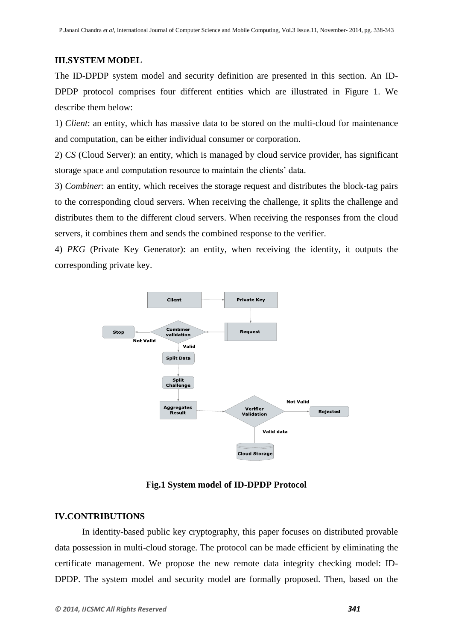## **III.SYSTEM MODEL**

The ID-DPDP system model and security definition are presented in this section. An ID-DPDP protocol comprises four different entities which are illustrated in Figure 1. We describe them below:

1) *Client*: an entity, which has massive data to be stored on the multi-cloud for maintenance and computation, can be either individual consumer or corporation.

2) *CS* (Cloud Server): an entity, which is managed by cloud service provider, has significant storage space and computation resource to maintain the clients' data.

3) *Combiner*: an entity, which receives the storage request and distributes the block-tag pairs to the corresponding cloud servers. When receiving the challenge, it splits the challenge and distributes them to the different cloud servers. When receiving the responses from the cloud servers, it combines them and sends the combined response to the verifier.

4) *PKG* (Private Key Generator): an entity, when receiving the identity, it outputs the corresponding private key.



**Fig.1 System model of ID-DPDP Protocol**

# **IV.CONTRIBUTIONS**

In identity-based public key cryptography, this paper focuses on distributed provable data possession in multi-cloud storage. The protocol can be made efficient by eliminating the certificate management. We propose the new remote data integrity checking model: ID-DPDP. The system model and security model are formally proposed. Then, based on the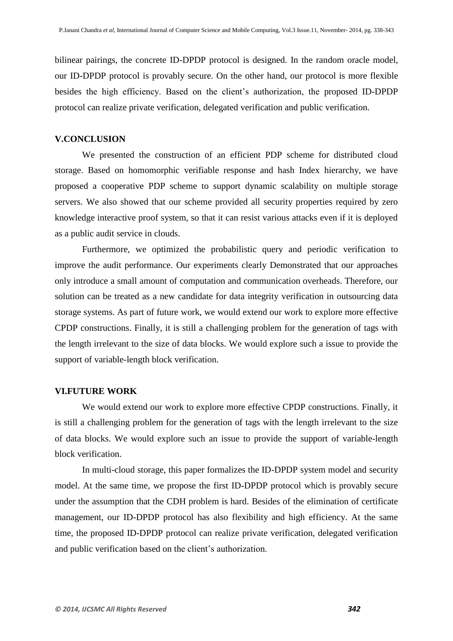bilinear pairings, the concrete ID-DPDP protocol is designed. In the random oracle model, our ID-DPDP protocol is provably secure. On the other hand, our protocol is more flexible besides the high efficiency. Based on the client's authorization, the proposed ID-DPDP protocol can realize private verification, delegated verification and public verification.

#### **V.CONCLUSION**

We presented the construction of an efficient PDP scheme for distributed cloud storage. Based on homomorphic verifiable response and hash Index hierarchy, we have proposed a cooperative PDP scheme to support dynamic scalability on multiple storage servers. We also showed that our scheme provided all security properties required by zero knowledge interactive proof system, so that it can resist various attacks even if it is deployed as a public audit service in clouds.

Furthermore, we optimized the probabilistic query and periodic verification to improve the audit performance. Our experiments clearly Demonstrated that our approaches only introduce a small amount of computation and communication overheads. Therefore, our solution can be treated as a new candidate for data integrity verification in outsourcing data storage systems. As part of future work, we would extend our work to explore more effective CPDP constructions. Finally, it is still a challenging problem for the generation of tags with the length irrelevant to the size of data blocks. We would explore such a issue to provide the support of variable-length block verification.

#### **VI.FUTURE WORK**

We would extend our work to explore more effective CPDP constructions. Finally, it is still a challenging problem for the generation of tags with the length irrelevant to the size of data blocks. We would explore such an issue to provide the support of variable-length block verification.

In multi-cloud storage, this paper formalizes the ID-DPDP system model and security model. At the same time, we propose the first ID-DPDP protocol which is provably secure under the assumption that the CDH problem is hard. Besides of the elimination of certificate management, our ID-DPDP protocol has also flexibility and high efficiency. At the same time, the proposed ID-DPDP protocol can realize private verification, delegated verification and public verification based on the client's authorization.